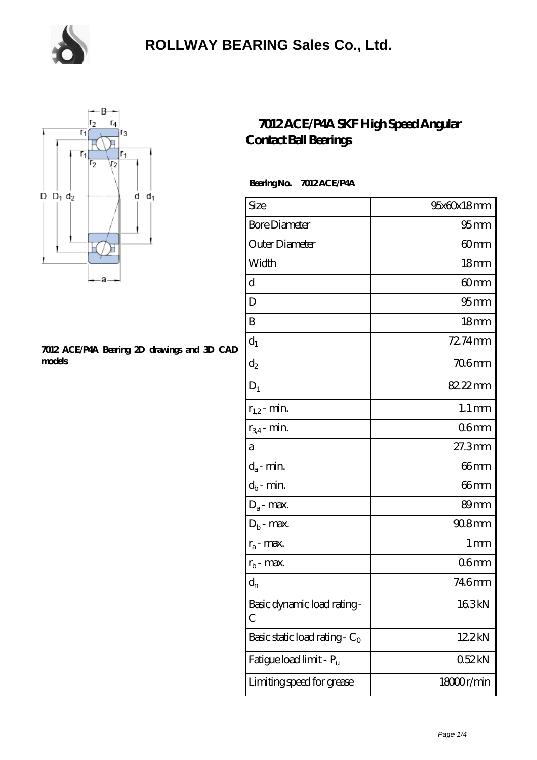

### **[ROLLWAY BEARING Sales Co., Ltd.](https://m.chooseyourcufflinks.com)**



#### **[7012 ACE/P4A Bearing 2D drawings and 3D CAD](https://m.chooseyourcufflinks.com/pic-938544.html) [models](https://m.chooseyourcufflinks.com/pic-938544.html)**

### **[7012 ACE/P4A SKF High Speed Angular](https://m.chooseyourcufflinks.com/skf-bearing/7012-ace-p4a.html) [Contact Ball Bearings](https://m.chooseyourcufflinks.com/skf-bearing/7012-ace-p4a.html)**

 **Bearing No. 7012 ACE/P4A**

| Size                             | 95x60x18mm          |
|----------------------------------|---------------------|
| <b>Bore Diameter</b>             | 95 <sub>mm</sub>    |
| Outer Diameter                   | 60mm                |
| Width                            | 18mm                |
| d                                | 60mm                |
| D                                | 95 <sub>mm</sub>    |
| B                                | 18 <sub>mm</sub>    |
| $d_1$                            | 72.74mm             |
| $d_2$                            | <b>706mm</b>        |
| $D_1$                            | 82.22mm             |
| $r_{1,2}$ - min.                 | $1.1 \,\mathrm{mm}$ |
| $r_{34}$ - min.                  | 06 <sub>mm</sub>    |
| а                                | 27.3mm              |
| $d_a$ - min.                     | 66mm                |
| $d_b$ - min.                     | 66mm                |
| $D_a$ - max.                     | 89mm                |
| $D_b$ - max.                     | 90.8mm              |
| $r_a$ - max.                     | 1 mm                |
| $r_{b}$ - max.                   | 06 <sub>mm</sub>    |
| $\mathbf{d}_{\rm n}$             | 746mm               |
| Basic dynamic load rating-<br>C  | 163kN               |
| Basic static load rating - $C_0$ | 12.2kN              |
| Fatigue load limit - Pu          | 052kN               |
| Limiting speed for grease        | 18000r/min          |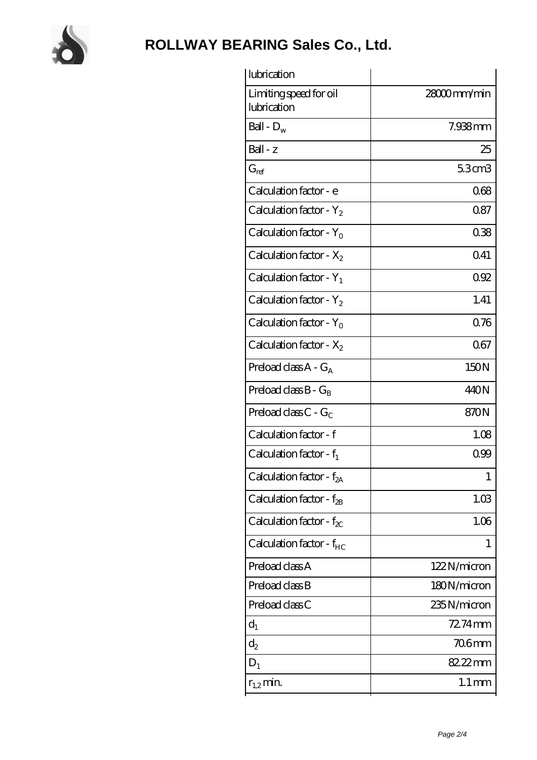

# **[ROLLWAY BEARING Sales Co., Ltd.](https://m.chooseyourcufflinks.com)**

| lubrication                           |                     |
|---------------------------------------|---------------------|
| Limiting speed for oil<br>lubrication | 28000mm/min         |
| Ball - $D_w$                          | 7.938mm             |
| $Ball - z$                            | 25                  |
| $G_{ref}$                             | 5.3cm3              |
| Calculation factor - e                | 068                 |
| Calculation factor - $Y_2$            | 0.87                |
| Calculation factor - $Y_0$            | 038                 |
| Calculation factor - $X_2$            | 0.41                |
| Calculation factor - $Y_1$            | 092                 |
| Calculation factor - $Y_2$            | 1.41                |
| Calculation factor - $Y_0$            | 0.76                |
| Calculation factor - $X_2$            | 067                 |
| Preload class $A - G_A$               | 150N                |
| Preload class $B - G_B$               | 440N                |
| Preload class $C - G_C$               | 870N                |
| Calculation factor - f                | 1.08                |
| Calculation factor - $f_1$            | 099                 |
| Calculation factor - f <sub>2A</sub>  | 1                   |
| Calculation factor - $f_{\rm 2B}$     | 1.03                |
| Calculation factor - $f_{\chi}$       | 1.06                |
| Calculation factor - $f_{HC}$         | 1                   |
| Preload class A                       | 122N/micron         |
| Preload class B                       | 180N/micron         |
| Preload class C                       | 235N/micron         |
| $d_1$                                 | 72.74mm             |
| $d_2$                                 | 706mm               |
| $D_1$                                 | 82.22mm             |
| $r_{1,2}$ min.                        | $1.1 \,\mathrm{mm}$ |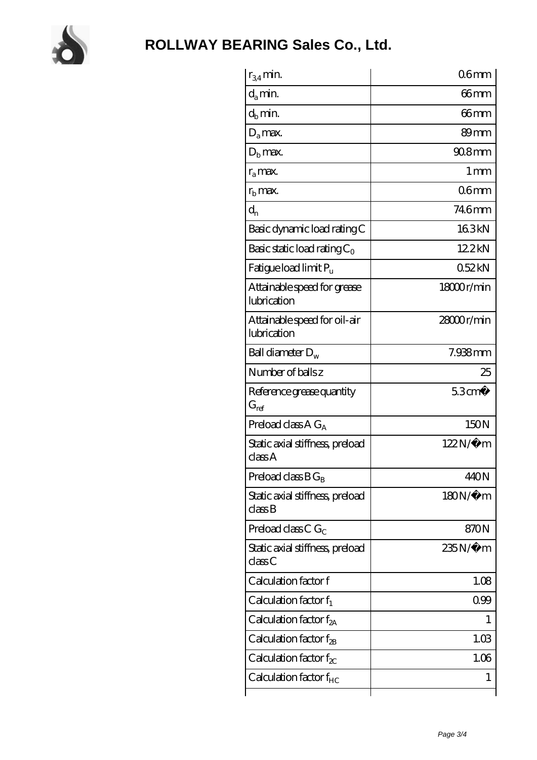

| $r_{34}$ min.                               | 06 <sub>mm</sub>  |
|---------------------------------------------|-------------------|
| $d_{a}$ min.                                | 66mm              |
| $d_h$ min.                                  | 66mm              |
| $D_a$ max.                                  | 89mm              |
| $Db$ max.                                   | $908$ mm          |
| $r_a$ max.                                  | $1 \,\mathrm{mm}$ |
| $rb$ max.                                   | 06mm              |
| $d_{n}$                                     | 746mm             |
| Basic dynamic load rating C                 | 163kN             |
| Basic static load rating $C_0$              | 12.2kN            |
| Fatigue load limit Pu                       | 052kN             |
| Attainable speed for grease<br>lubrication  | 18000r/min        |
| Attainable speed for oil-air<br>lubrication | 28000r/min        |
| Ball diameter $D_w$                         | 7.938mm           |
| Number of balls z                           | 25                |
| Reference grease quantity<br>$G_{ref}$      | 53cm <sup>3</sup> |
| Preload class $A G_A$                       | 150N              |
| Static axial stiffness, preload<br>classA   | 122N/μ m          |
| Preload class $B G_B$                       | 440N              |
| Static axial stiffness, preload<br>classB   | $180N/\mu$ m      |
| Preload class C $G_C$                       | 870N              |
| Static axial stiffness, preload<br>classC   | 235N/µ m          |
| Calculation factor f                        | 1.08              |
| Calculation factor $f_1$                    | 099               |
| Calculation factor $f_{2A}$                 |                   |
| Calculation factor $f_{\rm 2B}$             | 1.03              |
| Calculation factor $f_{\chi}$               | 1.06              |
|                                             |                   |
| Calculation factor $f_{HC}$                 | 1                 |